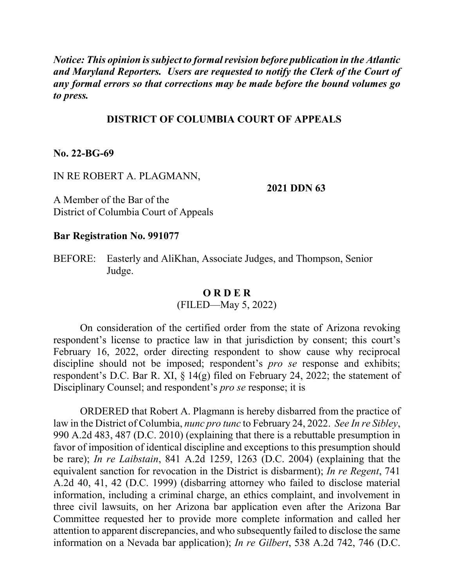*Notice: This opinion is subject to formal revision before publication in the Atlantic and Maryland Reporters. Users are requested to notify the Clerk of the Court of any formal errors so that corrections may be made before the bound volumes go to press.*

# **DISTRICT OF COLUMBIA COURT OF APPEALS**

### **No. 22-BG-69**

### IN RE ROBERT A. PLAGMANN,

#### **2021 DDN 63**

A Member of the Bar of the District of Columbia Court of Appeals

### **Bar Registration No. 991077**

BEFORE: Easterly and AliKhan, Associate Judges, and Thompson, Senior Judge.

#### **O R D E R**

(FILED—May 5, 2022)

On consideration of the certified order from the state of Arizona revoking respondent's license to practice law in that jurisdiction by consent; this court's February 16, 2022, order directing respondent to show cause why reciprocal discipline should not be imposed; respondent's *pro se* response and exhibits; respondent's D.C. Bar R. XI, § 14(g) filed on February 24, 2022; the statement of Disciplinary Counsel; and respondent's *pro se* response; it is

ORDERED that Robert A. Plagmann is hereby disbarred from the practice of law in the District of Columbia, *nunc pro tunc* to February 24, 2022. *See In re Sibley*, 990 A.2d 483, 487 (D.C. 2010) (explaining that there is a rebuttable presumption in favor of imposition of identical discipline and exceptions to this presumption should be rare); *In re Laibstain*, 841 A.2d 1259, 1263 (D.C. 2004) (explaining that the equivalent sanction for revocation in the District is disbarment); *In re Regent*, 741 A.2d 40, 41, 42 (D.C. 1999) (disbarring attorney who failed to disclose material information, including a criminal charge, an ethics complaint, and involvement in three civil lawsuits, on her Arizona bar application even after the Arizona Bar Committee requested her to provide more complete information and called her attention to apparent discrepancies, and who subsequently failed to disclose the same information on a Nevada bar application); *In re Gilbert*, 538 A.2d 742, 746 (D.C.